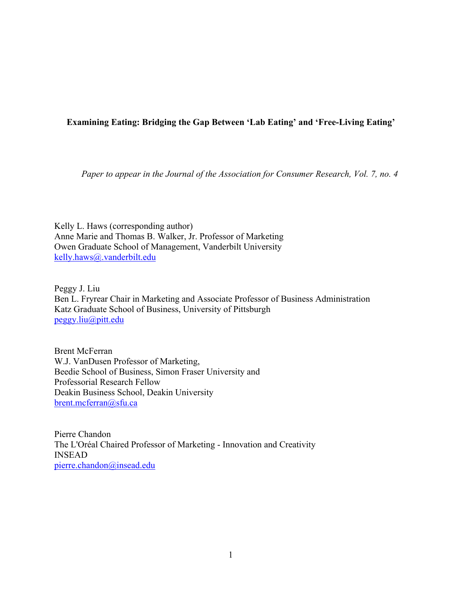# **Examining Eating: Bridging the Gap Between 'Lab Eating' and 'Free-Living Eating'**

*Paper to appear in the Journal of the Association for Consumer Research, Vol. 7, no. 4*

Kelly L. Haws (corresponding author) Anne Marie and Thomas B. Walker, Jr. Professor of Marketing Owen Graduate School of Management, Vanderbilt University kelly.haws@.vanderbilt.edu

Peggy J. Liu Ben L. Fryrear Chair in Marketing and Associate Professor of Business Administration Katz Graduate School of Business, University of Pittsburgh peggy.liu@pitt.edu

Brent McFerran W.J. VanDusen Professor of Marketing, Beedie School of Business, Simon Fraser University and Professorial Research Fellow Deakin Business School, Deakin University brent.mcferran@sfu.ca

Pierre Chandon The L'Oréal Chaired Professor of Marketing - Innovation and Creativity INSEAD pierre.chandon@insead.edu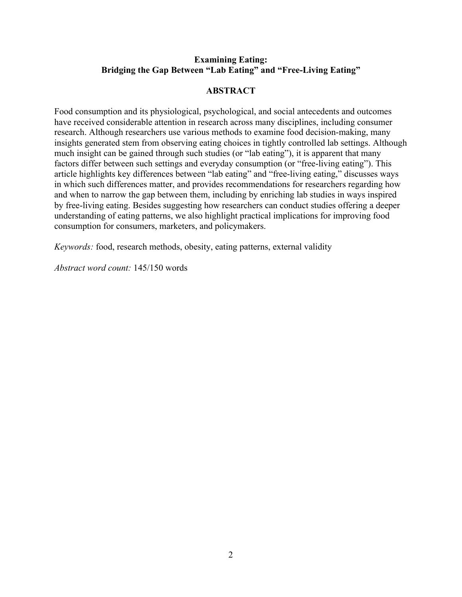# **Examining Eating: Bridging the Gap Between "Lab Eating" and "Free-Living Eating"**

# **ABSTRACT**

Food consumption and its physiological, psychological, and social antecedents and outcomes have received considerable attention in research across many disciplines, including consumer research. Although researchers use various methods to examine food decision-making, many insights generated stem from observing eating choices in tightly controlled lab settings. Although much insight can be gained through such studies (or "lab eating"), it is apparent that many factors differ between such settings and everyday consumption (or "free-living eating"). This article highlights key differences between "lab eating" and "free-living eating," discusses ways in which such differences matter, and provides recommendations for researchers regarding how and when to narrow the gap between them, including by enriching lab studies in ways inspired by free-living eating. Besides suggesting how researchers can conduct studies offering a deeper understanding of eating patterns, we also highlight practical implications for improving food consumption for consumers, marketers, and policymakers.

*Keywords:* food, research methods, obesity, eating patterns, external validity

*Abstract word count:* 145/150 words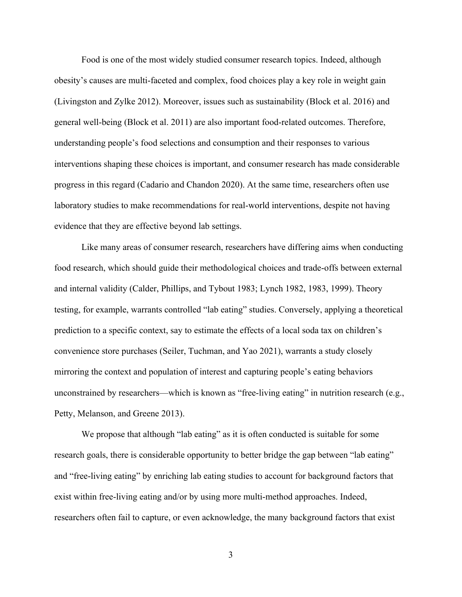Food is one of the most widely studied consumer research topics. Indeed, although obesity's causes are multi-faceted and complex, food choices play a key role in weight gain (Livingston and Zylke 2012). Moreover, issues such as sustainability (Block et al. 2016) and general well-being (Block et al. 2011) are also important food-related outcomes. Therefore, understanding people's food selections and consumption and their responses to various interventions shaping these choices is important, and consumer research has made considerable progress in this regard (Cadario and Chandon 2020). At the same time, researchers often use laboratory studies to make recommendations for real-world interventions, despite not having evidence that they are effective beyond lab settings.

Like many areas of consumer research, researchers have differing aims when conducting food research, which should guide their methodological choices and trade-offs between external and internal validity (Calder, Phillips, and Tybout 1983; Lynch 1982, 1983, 1999). Theory testing, for example, warrants controlled "lab eating" studies. Conversely, applying a theoretical prediction to a specific context, say to estimate the effects of a local soda tax on children's convenience store purchases (Seiler, Tuchman, and Yao 2021), warrants a study closely mirroring the context and population of interest and capturing people's eating behaviors unconstrained by researchers—which is known as "free-living eating" in nutrition research (e.g., Petty, Melanson, and Greene 2013).

We propose that although "lab eating" as it is often conducted is suitable for some research goals, there is considerable opportunity to better bridge the gap between "lab eating" and "free-living eating" by enriching lab eating studies to account for background factors that exist within free-living eating and/or by using more multi-method approaches. Indeed, researchers often fail to capture, or even acknowledge, the many background factors that exist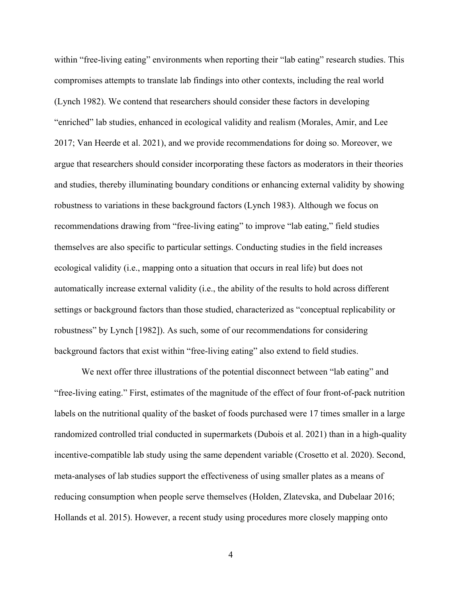within "free-living eating" environments when reporting their "lab eating" research studies. This compromises attempts to translate lab findings into other contexts, including the real world (Lynch 1982). We contend that researchers should consider these factors in developing "enriched" lab studies, enhanced in ecological validity and realism (Morales, Amir, and Lee 2017; Van Heerde et al. 2021), and we provide recommendations for doing so. Moreover, we argue that researchers should consider incorporating these factors as moderators in their theories and studies, thereby illuminating boundary conditions or enhancing external validity by showing robustness to variations in these background factors (Lynch 1983). Although we focus on recommendations drawing from "free-living eating" to improve "lab eating," field studies themselves are also specific to particular settings. Conducting studies in the field increases ecological validity (i.e., mapping onto a situation that occurs in real life) but does not automatically increase external validity (i.e., the ability of the results to hold across different settings or background factors than those studied, characterized as "conceptual replicability or robustness" by Lynch [1982]). As such, some of our recommendations for considering background factors that exist within "free-living eating" also extend to field studies.

We next offer three illustrations of the potential disconnect between "lab eating" and "free-living eating." First, estimates of the magnitude of the effect of four front-of-pack nutrition labels on the nutritional quality of the basket of foods purchased were 17 times smaller in a large randomized controlled trial conducted in supermarkets (Dubois et al. 2021) than in a high-quality incentive-compatible lab study using the same dependent variable (Crosetto et al. 2020). Second, meta-analyses of lab studies support the effectiveness of using smaller plates as a means of reducing consumption when people serve themselves (Holden, Zlatevska, and Dubelaar 2016; Hollands et al. 2015). However, a recent study using procedures more closely mapping onto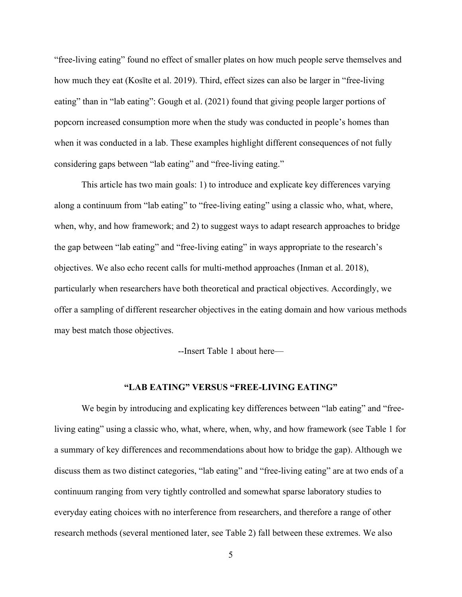"free-living eating" found no effect of smaller plates on how much people serve themselves and how much they eat (Kosīte et al. 2019). Third, effect sizes can also be larger in "free-living eating" than in "lab eating": Gough et al. (2021) found that giving people larger portions of popcorn increased consumption more when the study was conducted in people's homes than when it was conducted in a lab. These examples highlight different consequences of not fully considering gaps between "lab eating" and "free-living eating."

This article has two main goals: 1) to introduce and explicate key differences varying along a continuum from "lab eating" to "free-living eating" using a classic who, what, where, when, why, and how framework; and 2) to suggest ways to adapt research approaches to bridge the gap between "lab eating" and "free-living eating" in ways appropriate to the research's objectives. We also echo recent calls for multi-method approaches (Inman et al. 2018), particularly when researchers have both theoretical and practical objectives. Accordingly, we offer a sampling of different researcher objectives in the eating domain and how various methods may best match those objectives.

--Insert Table 1 about here—

## **"LAB EATING" VERSUS "FREE-LIVING EATING"**

We begin by introducing and explicating key differences between "lab eating" and "freeliving eating" using a classic who, what, where, when, why, and how framework (see Table 1 for a summary of key differences and recommendations about how to bridge the gap). Although we discuss them as two distinct categories, "lab eating" and "free-living eating" are at two ends of a continuum ranging from very tightly controlled and somewhat sparse laboratory studies to everyday eating choices with no interference from researchers, and therefore a range of other research methods (several mentioned later, see Table 2) fall between these extremes. We also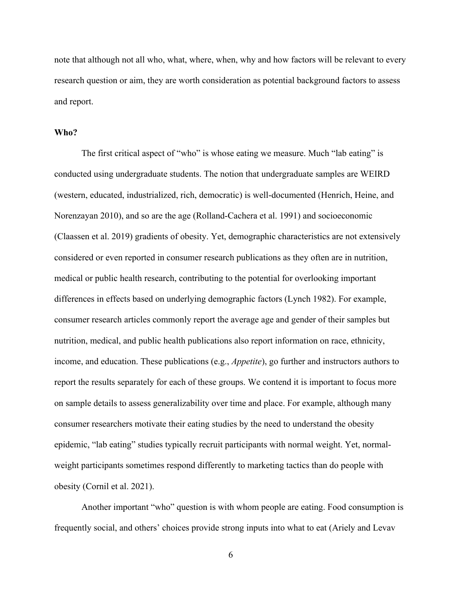note that although not all who, what, where, when, why and how factors will be relevant to every research question or aim, they are worth consideration as potential background factors to assess and report.

## **Who?**

The first critical aspect of "who" is whose eating we measure. Much "lab eating" is conducted using undergraduate students. The notion that undergraduate samples are WEIRD (western, educated, industrialized, rich, democratic) is well-documented (Henrich, Heine, and Norenzayan 2010), and so are the age (Rolland-Cachera et al. 1991) and socioeconomic (Claassen et al. 2019) gradients of obesity. Yet, demographic characteristics are not extensively considered or even reported in consumer research publications as they often are in nutrition, medical or public health research, contributing to the potential for overlooking important differences in effects based on underlying demographic factors (Lynch 1982). For example, consumer research articles commonly report the average age and gender of their samples but nutrition, medical, and public health publications also report information on race, ethnicity, income, and education. These publications (e.g., *Appetite*), go further and instructors authors to report the results separately for each of these groups. We contend it is important to focus more on sample details to assess generalizability over time and place. For example, although many consumer researchers motivate their eating studies by the need to understand the obesity epidemic, "lab eating" studies typically recruit participants with normal weight. Yet, normalweight participants sometimes respond differently to marketing tactics than do people with obesity (Cornil et al. 2021).

Another important "who" question is with whom people are eating. Food consumption is frequently social, and others' choices provide strong inputs into what to eat (Ariely and Levav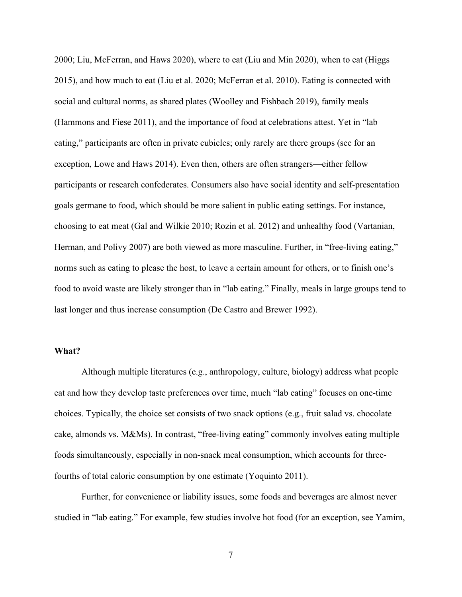2000; Liu, McFerran, and Haws 2020), where to eat (Liu and Min 2020), when to eat (Higgs 2015), and how much to eat (Liu et al. 2020; McFerran et al. 2010). Eating is connected with social and cultural norms, as shared plates (Woolley and Fishbach 2019), family meals (Hammons and Fiese 2011), and the importance of food at celebrations attest. Yet in "lab eating," participants are often in private cubicles; only rarely are there groups (see for an exception, Lowe and Haws 2014). Even then, others are often strangers—either fellow participants or research confederates. Consumers also have social identity and self-presentation goals germane to food, which should be more salient in public eating settings. For instance, choosing to eat meat (Gal and Wilkie 2010; Rozin et al. 2012) and unhealthy food (Vartanian, Herman, and Polivy 2007) are both viewed as more masculine. Further, in "free-living eating," norms such as eating to please the host, to leave a certain amount for others, or to finish one's food to avoid waste are likely stronger than in "lab eating." Finally, meals in large groups tend to last longer and thus increase consumption (De Castro and Brewer 1992).

#### **What?**

Although multiple literatures (e.g., anthropology, culture, biology) address what people eat and how they develop taste preferences over time, much "lab eating" focuses on one-time choices. Typically, the choice set consists of two snack options (e.g., fruit salad vs. chocolate cake, almonds vs. M&Ms). In contrast, "free-living eating" commonly involves eating multiple foods simultaneously, especially in non-snack meal consumption, which accounts for threefourths of total caloric consumption by one estimate (Yoquinto 2011).

Further, for convenience or liability issues, some foods and beverages are almost never studied in "lab eating." For example, few studies involve hot food (for an exception, see Yamim,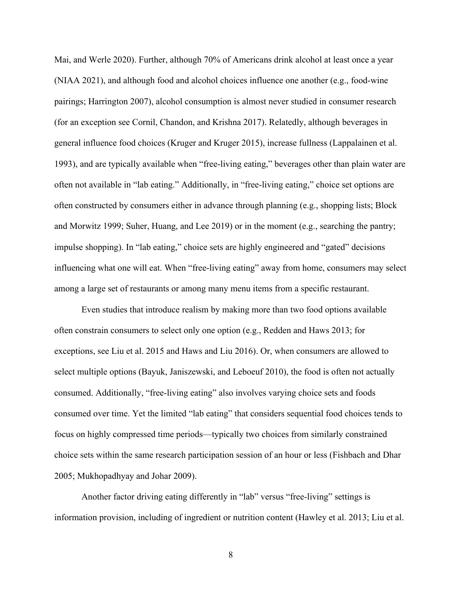Mai, and Werle 2020). Further, although 70% of Americans drink alcohol at least once a year (NIAA 2021), and although food and alcohol choices influence one another (e.g., food-wine pairings; Harrington 2007), alcohol consumption is almost never studied in consumer research (for an exception see Cornil, Chandon, and Krishna 2017). Relatedly, although beverages in general influence food choices (Kruger and Kruger 2015), increase fullness (Lappalainen et al. 1993), and are typically available when "free-living eating," beverages other than plain water are often not available in "lab eating." Additionally, in "free-living eating," choice set options are often constructed by consumers either in advance through planning (e.g., shopping lists; Block and Morwitz 1999; Suher, Huang, and Lee 2019) or in the moment (e.g., searching the pantry; impulse shopping). In "lab eating," choice sets are highly engineered and "gated" decisions influencing what one will eat. When "free-living eating" away from home, consumers may select among a large set of restaurants or among many menu items from a specific restaurant.

Even studies that introduce realism by making more than two food options available often constrain consumers to select only one option (e.g., Redden and Haws 2013; for exceptions, see Liu et al. 2015 and Haws and Liu 2016). Or, when consumers are allowed to select multiple options (Bayuk, Janiszewski, and Leboeuf 2010), the food is often not actually consumed. Additionally, "free-living eating" also involves varying choice sets and foods consumed over time. Yet the limited "lab eating" that considers sequential food choices tends to focus on highly compressed time periods—typically two choices from similarly constrained choice sets within the same research participation session of an hour or less (Fishbach and Dhar 2005; Mukhopadhyay and Johar 2009).

Another factor driving eating differently in "lab" versus "free-living" settings is information provision, including of ingredient or nutrition content (Hawley et al. 2013; Liu et al.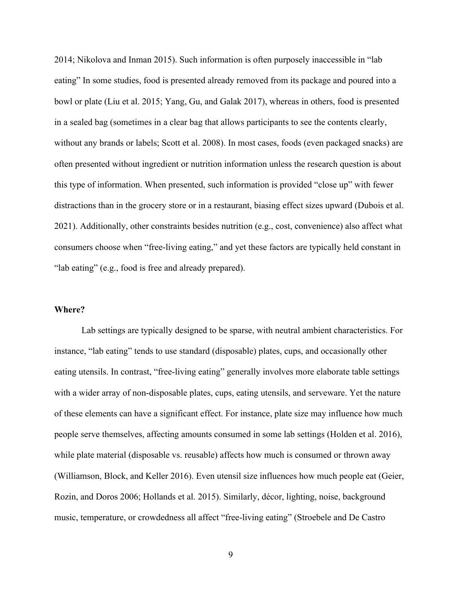2014; Nikolova and Inman 2015). Such information is often purposely inaccessible in "lab eating" In some studies, food is presented already removed from its package and poured into a bowl or plate (Liu et al. 2015; Yang, Gu, and Galak 2017), whereas in others, food is presented in a sealed bag (sometimes in a clear bag that allows participants to see the contents clearly, without any brands or labels; Scott et al. 2008). In most cases, foods (even packaged snacks) are often presented without ingredient or nutrition information unless the research question is about this type of information. When presented, such information is provided "close up" with fewer distractions than in the grocery store or in a restaurant, biasing effect sizes upward (Dubois et al. 2021). Additionally, other constraints besides nutrition (e.g., cost, convenience) also affect what consumers choose when "free-living eating," and yet these factors are typically held constant in "lab eating" (e.g., food is free and already prepared).

#### **Where?**

Lab settings are typically designed to be sparse, with neutral ambient characteristics. For instance, "lab eating" tends to use standard (disposable) plates, cups, and occasionally other eating utensils. In contrast, "free-living eating" generally involves more elaborate table settings with a wider array of non-disposable plates, cups, eating utensils, and serveware. Yet the nature of these elements can have a significant effect. For instance, plate size may influence how much people serve themselves, affecting amounts consumed in some lab settings (Holden et al. 2016), while plate material (disposable vs. reusable) affects how much is consumed or thrown away (Williamson, Block, and Keller 2016). Even utensil size influences how much people eat (Geier, Rozin, and Doros 2006; Hollands et al. 2015). Similarly, décor, lighting, noise, background music, temperature, or crowdedness all affect "free-living eating" (Stroebele and De Castro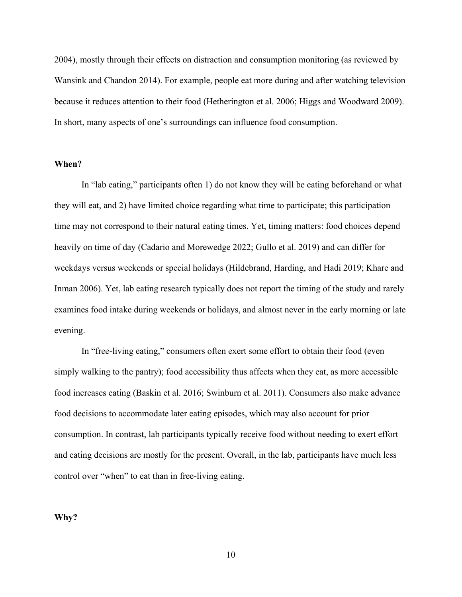2004), mostly through their effects on distraction and consumption monitoring (as reviewed by Wansink and Chandon 2014). For example, people eat more during and after watching television because it reduces attention to their food (Hetherington et al. 2006; Higgs and Woodward 2009). In short, many aspects of one's surroundings can influence food consumption.

## **When?**

In "lab eating," participants often 1) do not know they will be eating beforehand or what they will eat, and 2) have limited choice regarding what time to participate; this participation time may not correspond to their natural eating times. Yet, timing matters: food choices depend heavily on time of day (Cadario and Morewedge 2022; Gullo et al. 2019) and can differ for weekdays versus weekends or special holidays (Hildebrand, Harding, and Hadi 2019; Khare and Inman 2006). Yet, lab eating research typically does not report the timing of the study and rarely examines food intake during weekends or holidays, and almost never in the early morning or late evening.

In "free-living eating," consumers often exert some effort to obtain their food (even simply walking to the pantry); food accessibility thus affects when they eat, as more accessible food increases eating (Baskin et al. 2016; Swinburn et al. 2011). Consumers also make advance food decisions to accommodate later eating episodes, which may also account for prior consumption. In contrast, lab participants typically receive food without needing to exert effort and eating decisions are mostly for the present. Overall, in the lab, participants have much less control over "when" to eat than in free-living eating.

**Why?**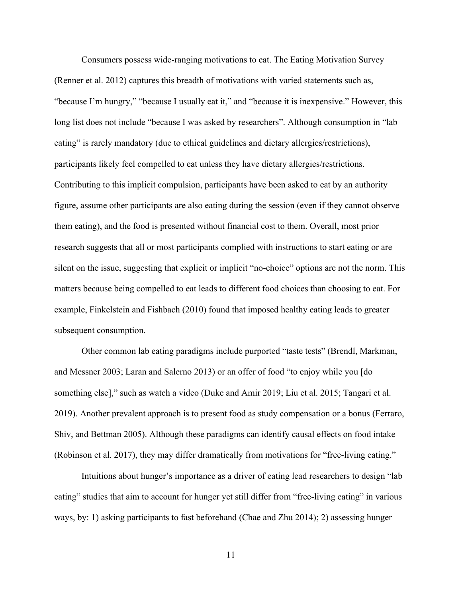Consumers possess wide-ranging motivations to eat. The Eating Motivation Survey (Renner et al. 2012) captures this breadth of motivations with varied statements such as, "because I'm hungry," "because I usually eat it," and "because it is inexpensive." However, this long list does not include "because I was asked by researchers". Although consumption in "lab eating" is rarely mandatory (due to ethical guidelines and dietary allergies/restrictions), participants likely feel compelled to eat unless they have dietary allergies/restrictions. Contributing to this implicit compulsion, participants have been asked to eat by an authority figure, assume other participants are also eating during the session (even if they cannot observe them eating), and the food is presented without financial cost to them. Overall, most prior research suggests that all or most participants complied with instructions to start eating or are silent on the issue, suggesting that explicit or implicit "no-choice" options are not the norm. This matters because being compelled to eat leads to different food choices than choosing to eat. For example, Finkelstein and Fishbach (2010) found that imposed healthy eating leads to greater subsequent consumption.

Other common lab eating paradigms include purported "taste tests" (Brendl, Markman, and Messner 2003; Laran and Salerno 2013) or an offer of food "to enjoy while you [do something else]," such as watch a video (Duke and Amir 2019; Liu et al. 2015; Tangari et al. 2019). Another prevalent approach is to present food as study compensation or a bonus (Ferraro, Shiv, and Bettman 2005). Although these paradigms can identify causal effects on food intake (Robinson et al. 2017), they may differ dramatically from motivations for "free-living eating."

Intuitions about hunger's importance as a driver of eating lead researchers to design "lab eating" studies that aim to account for hunger yet still differ from "free-living eating" in various ways, by: 1) asking participants to fast beforehand (Chae and Zhu 2014); 2) assessing hunger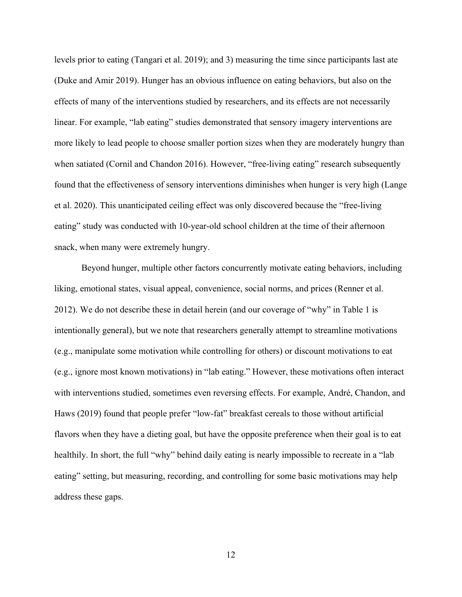levels prior to eating (Tangari et al. 2019); and 3) measuring the time since participants last ate (Duke and Amir 2019). Hunger has an obvious influence on eating behaviors, but also on the effects of many of the interventions studied by researchers, and its effects are not necessarily linear. For example, "lab eating" studies demonstrated that sensory imagery interventions are more likely to lead people to choose smaller portion sizes when they are moderately hungry than when satiated (Cornil and Chandon 2016). However, "free-living eating" research subsequently found that the effectiveness of sensory interventions diminishes when hunger is very high (Lange et al. 2020). This unanticipated ceiling effect was only discovered because the "free-living eating" study was conducted with 10-year-old school children at the time of their afternoon snack, when many were extremely hungry.

Beyond hunger, multiple other factors concurrently motivate eating behaviors, including liking, emotional states, visual appeal, convenience, social norms, and prices (Renner et al. 2012). We do not describe these in detail herein (and our coverage of "why" in Table 1 is intentionally general), but we note that researchers generally attempt to streamline motivations (e.g., manipulate some motivation while controlling for others) or discount motivations to eat (e.g., ignore most known motivations) in "lab eating." However, these motivations often interact with interventions studied, sometimes even reversing effects. For example, André, Chandon, and Haws (2019) found that people prefer "low-fat" breakfast cereals to those without artificial flavors when they have a dieting goal, but have the opposite preference when their goal is to eat healthily. In short, the full "why" behind daily eating is nearly impossible to recreate in a "lab" eating" setting, but measuring, recording, and controlling for some basic motivations may help address these gaps.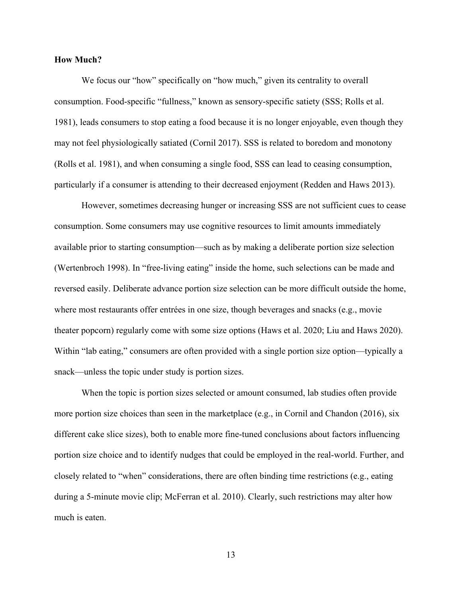## **How Much?**

We focus our "how" specifically on "how much," given its centrality to overall consumption. Food-specific "fullness," known as sensory-specific satiety (SSS; Rolls et al. 1981), leads consumers to stop eating a food because it is no longer enjoyable, even though they may not feel physiologically satiated (Cornil 2017). SSS is related to boredom and monotony (Rolls et al. 1981), and when consuming a single food, SSS can lead to ceasing consumption, particularly if a consumer is attending to their decreased enjoyment (Redden and Haws 2013).

However, sometimes decreasing hunger or increasing SSS are not sufficient cues to cease consumption. Some consumers may use cognitive resources to limit amounts immediately available prior to starting consumption—such as by making a deliberate portion size selection (Wertenbroch 1998). In "free-living eating" inside the home, such selections can be made and reversed easily. Deliberate advance portion size selection can be more difficult outside the home, where most restaurants offer entrées in one size, though beverages and snacks (e.g., movie theater popcorn) regularly come with some size options (Haws et al. 2020; Liu and Haws 2020). Within "lab eating," consumers are often provided with a single portion size option—typically a snack—unless the topic under study is portion sizes.

When the topic is portion sizes selected or amount consumed, lab studies often provide more portion size choices than seen in the marketplace (e.g., in Cornil and Chandon (2016), six different cake slice sizes), both to enable more fine-tuned conclusions about factors influencing portion size choice and to identify nudges that could be employed in the real-world. Further, and closely related to "when" considerations, there are often binding time restrictions (e.g., eating during a 5-minute movie clip; McFerran et al. 2010). Clearly, such restrictions may alter how much is eaten.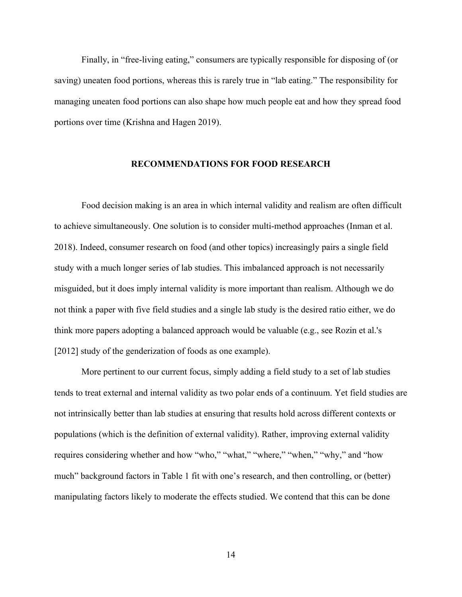Finally, in "free-living eating," consumers are typically responsible for disposing of (or saving) uneaten food portions, whereas this is rarely true in "lab eating." The responsibility for managing uneaten food portions can also shape how much people eat and how they spread food portions over time (Krishna and Hagen 2019).

## **RECOMMENDATIONS FOR FOOD RESEARCH**

Food decision making is an area in which internal validity and realism are often difficult to achieve simultaneously. One solution is to consider multi-method approaches (Inman et al. 2018). Indeed, consumer research on food (and other topics) increasingly pairs a single field study with a much longer series of lab studies. This imbalanced approach is not necessarily misguided, but it does imply internal validity is more important than realism. Although we do not think a paper with five field studies and a single lab study is the desired ratio either, we do think more papers adopting a balanced approach would be valuable (e.g., see Rozin et al.'s [2012] study of the genderization of foods as one example).

More pertinent to our current focus, simply adding a field study to a set of lab studies tends to treat external and internal validity as two polar ends of a continuum. Yet field studies are not intrinsically better than lab studies at ensuring that results hold across different contexts or populations (which is the definition of external validity). Rather, improving external validity requires considering whether and how "who," "what," "where," "when," "why," and "how much" background factors in Table 1 fit with one's research, and then controlling, or (better) manipulating factors likely to moderate the effects studied. We contend that this can be done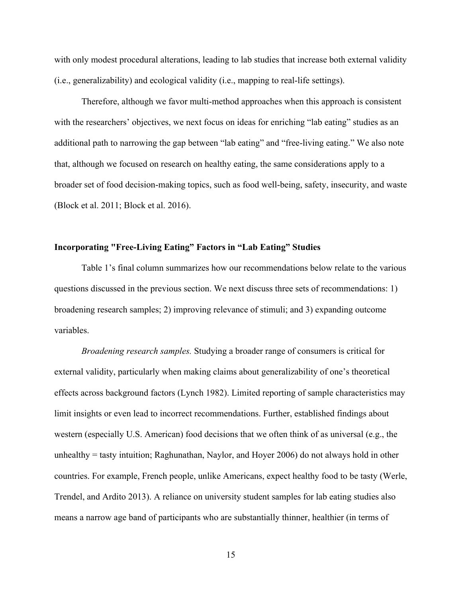with only modest procedural alterations, leading to lab studies that increase both external validity (i.e., generalizability) and ecological validity (i.e., mapping to real-life settings).

Therefore, although we favor multi-method approaches when this approach is consistent with the researchers' objectives, we next focus on ideas for enriching "lab eating" studies as an additional path to narrowing the gap between "lab eating" and "free-living eating." We also note that, although we focused on research on healthy eating, the same considerations apply to a broader set of food decision-making topics, such as food well-being, safety, insecurity, and waste (Block et al. 2011; Block et al. 2016).

## **Incorporating "Free-Living Eating" Factors in "Lab Eating" Studies**

Table 1's final column summarizes how our recommendations below relate to the various questions discussed in the previous section. We next discuss three sets of recommendations: 1) broadening research samples; 2) improving relevance of stimuli; and 3) expanding outcome variables.

*Broadening research samples.* Studying a broader range of consumers is critical for external validity, particularly when making claims about generalizability of one's theoretical effects across background factors (Lynch 1982). Limited reporting of sample characteristics may limit insights or even lead to incorrect recommendations. Further, established findings about western (especially U.S. American) food decisions that we often think of as universal (e.g., the unhealthy = tasty intuition; Raghunathan, Naylor, and Hoyer 2006) do not always hold in other countries. For example, French people, unlike Americans, expect healthy food to be tasty (Werle, Trendel, and Ardito 2013). A reliance on university student samples for lab eating studies also means a narrow age band of participants who are substantially thinner, healthier (in terms of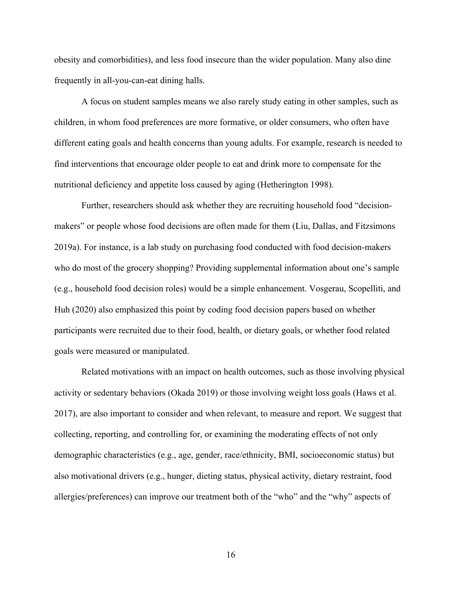obesity and comorbidities), and less food insecure than the wider population. Many also dine frequently in all-you-can-eat dining halls.

A focus on student samples means we also rarely study eating in other samples, such as children, in whom food preferences are more formative, or older consumers, who often have different eating goals and health concerns than young adults. For example, research is needed to find interventions that encourage older people to eat and drink more to compensate for the nutritional deficiency and appetite loss caused by aging (Hetherington 1998).

Further, researchers should ask whether they are recruiting household food "decisionmakers" or people whose food decisions are often made for them (Liu, Dallas, and Fitzsimons 2019a). For instance, is a lab study on purchasing food conducted with food decision-makers who do most of the grocery shopping? Providing supplemental information about one's sample (e.g., household food decision roles) would be a simple enhancement. Vosgerau, Scopelliti, and Huh (2020) also emphasized this point by coding food decision papers based on whether participants were recruited due to their food, health, or dietary goals, or whether food related goals were measured or manipulated.

Related motivations with an impact on health outcomes, such as those involving physical activity or sedentary behaviors (Okada 2019) or those involving weight loss goals (Haws et al. 2017), are also important to consider and when relevant, to measure and report. We suggest that collecting, reporting, and controlling for, or examining the moderating effects of not only demographic characteristics (e.g., age, gender, race/ethnicity, BMI, socioeconomic status) but also motivational drivers (e.g., hunger, dieting status, physical activity, dietary restraint, food allergies/preferences) can improve our treatment both of the "who" and the "why" aspects of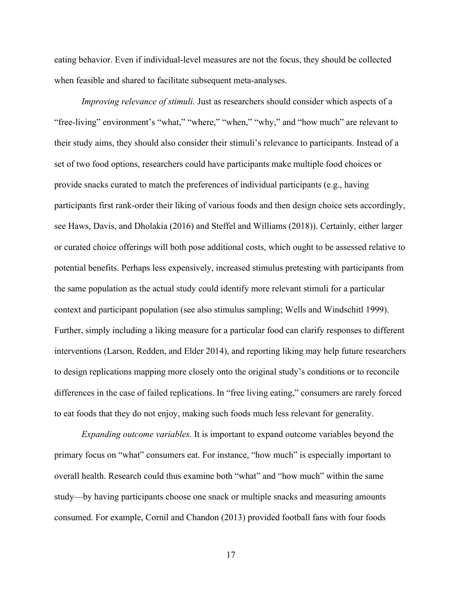eating behavior. Even if individual-level measures are not the focus, they should be collected when feasible and shared to facilitate subsequent meta-analyses.

*Improving relevance of stimuli.* Just as researchers should consider which aspects of a "free-living" environment's "what," "where," "when," "why," and "how much" are relevant to their study aims, they should also consider their stimuli's relevance to participants. Instead of a set of two food options, researchers could have participants make multiple food choices or provide snacks curated to match the preferences of individual participants (e.g., having participants first rank-order their liking of various foods and then design choice sets accordingly, see Haws, Davis, and Dholakia (2016) and Steffel and Williams (2018)). Certainly, either larger or curated choice offerings will both pose additional costs, which ought to be assessed relative to potential benefits. Perhaps less expensively, increased stimulus pretesting with participants from the same population as the actual study could identify more relevant stimuli for a particular context and participant population (see also stimulus sampling; Wells and Windschitl 1999). Further, simply including a liking measure for a particular food can clarify responses to different interventions (Larson, Redden, and Elder 2014), and reporting liking may help future researchers to design replications mapping more closely onto the original study's conditions or to reconcile differences in the case of failed replications. In "free living eating," consumers are rarely forced to eat foods that they do not enjoy, making such foods much less relevant for generality.

*Expanding outcome variables.* It is important to expand outcome variables beyond the primary focus on "what" consumers eat. For instance, "how much" is especially important to overall health. Research could thus examine both "what" and "how much" within the same study—by having participants choose one snack or multiple snacks and measuring amounts consumed. For example, Cornil and Chandon (2013) provided football fans with four foods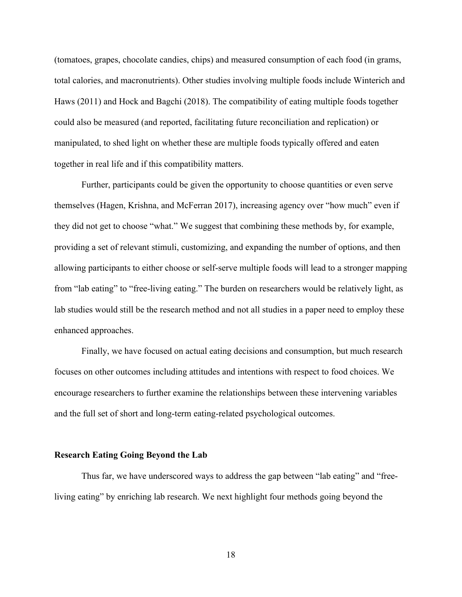(tomatoes, grapes, chocolate candies, chips) and measured consumption of each food (in grams, total calories, and macronutrients). Other studies involving multiple foods include Winterich and Haws (2011) and Hock and Bagchi (2018). The compatibility of eating multiple foods together could also be measured (and reported, facilitating future reconciliation and replication) or manipulated, to shed light on whether these are multiple foods typically offered and eaten together in real life and if this compatibility matters.

Further, participants could be given the opportunity to choose quantities or even serve themselves (Hagen, Krishna, and McFerran 2017), increasing agency over "how much" even if they did not get to choose "what." We suggest that combining these methods by, for example, providing a set of relevant stimuli, customizing, and expanding the number of options, and then allowing participants to either choose or self-serve multiple foods will lead to a stronger mapping from "lab eating" to "free-living eating." The burden on researchers would be relatively light, as lab studies would still be the research method and not all studies in a paper need to employ these enhanced approaches.

Finally, we have focused on actual eating decisions and consumption, but much research focuses on other outcomes including attitudes and intentions with respect to food choices. We encourage researchers to further examine the relationships between these intervening variables and the full set of short and long-term eating-related psychological outcomes.

#### **Research Eating Going Beyond the Lab**

Thus far, we have underscored ways to address the gap between "lab eating" and "freeliving eating" by enriching lab research. We next highlight four methods going beyond the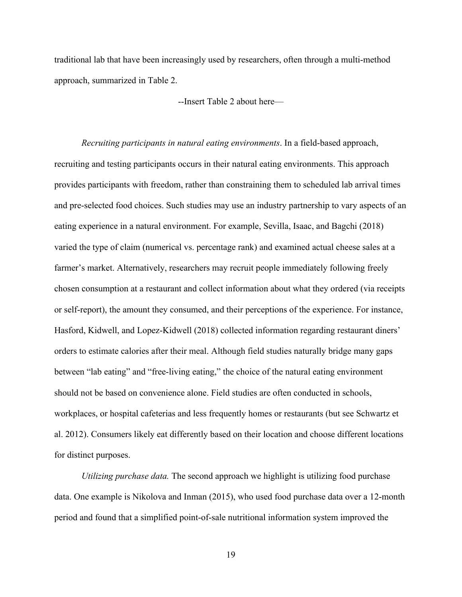traditional lab that have been increasingly used by researchers, often through a multi-method approach, summarized in Table 2.

--Insert Table 2 about here—

*Recruiting participants in natural eating environments*. In a field-based approach, recruiting and testing participants occurs in their natural eating environments. This approach provides participants with freedom, rather than constraining them to scheduled lab arrival times and pre-selected food choices. Such studies may use an industry partnership to vary aspects of an eating experience in a natural environment. For example, Sevilla, Isaac, and Bagchi (2018) varied the type of claim (numerical vs. percentage rank) and examined actual cheese sales at a farmer's market. Alternatively, researchers may recruit people immediately following freely chosen consumption at a restaurant and collect information about what they ordered (via receipts or self-report), the amount they consumed, and their perceptions of the experience. For instance, Hasford, Kidwell, and Lopez-Kidwell (2018) collected information regarding restaurant diners' orders to estimate calories after their meal. Although field studies naturally bridge many gaps between "lab eating" and "free-living eating," the choice of the natural eating environment should not be based on convenience alone. Field studies are often conducted in schools, workplaces, or hospital cafeterias and less frequently homes or restaurants (but see Schwartz et al. 2012). Consumers likely eat differently based on their location and choose different locations for distinct purposes.

*Utilizing purchase data.* The second approach we highlight is utilizing food purchase data. One example is Nikolova and Inman (2015), who used food purchase data over a 12-month period and found that a simplified point-of-sale nutritional information system improved the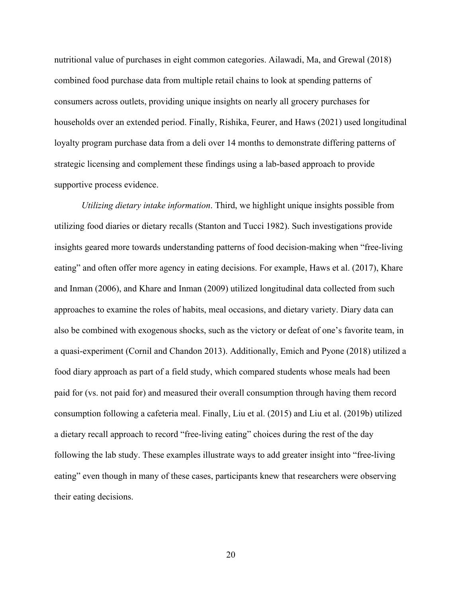nutritional value of purchases in eight common categories. Ailawadi, Ma, and Grewal (2018) combined food purchase data from multiple retail chains to look at spending patterns of consumers across outlets, providing unique insights on nearly all grocery purchases for households over an extended period. Finally, Rishika, Feurer, and Haws (2021) used longitudinal loyalty program purchase data from a deli over 14 months to demonstrate differing patterns of strategic licensing and complement these findings using a lab-based approach to provide supportive process evidence.

*Utilizing dietary intake information*. Third, we highlight unique insights possible from utilizing food diaries or dietary recalls (Stanton and Tucci 1982). Such investigations provide insights geared more towards understanding patterns of food decision-making when "free-living eating" and often offer more agency in eating decisions. For example, Haws et al. (2017), Khare and Inman (2006), and Khare and Inman (2009) utilized longitudinal data collected from such approaches to examine the roles of habits, meal occasions, and dietary variety. Diary data can also be combined with exogenous shocks, such as the victory or defeat of one's favorite team, in a quasi-experiment (Cornil and Chandon 2013). Additionally, Emich and Pyone (2018) utilized a food diary approach as part of a field study, which compared students whose meals had been paid for (vs. not paid for) and measured their overall consumption through having them record consumption following a cafeteria meal. Finally, Liu et al. (2015) and Liu et al. (2019b) utilized a dietary recall approach to record "free-living eating" choices during the rest of the day following the lab study. These examples illustrate ways to add greater insight into "free-living eating" even though in many of these cases, participants knew that researchers were observing their eating decisions.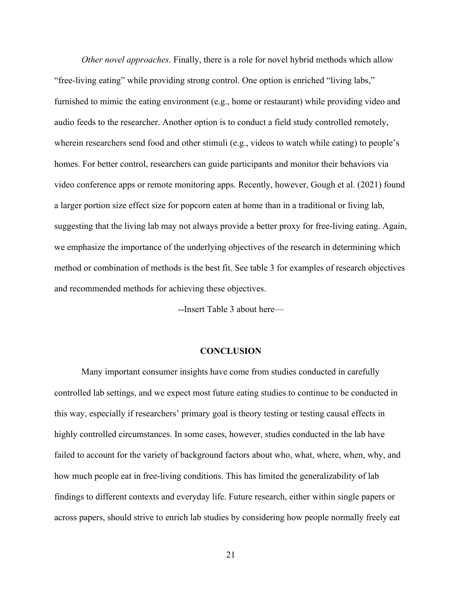*Other novel approaches*. Finally, there is a role for novel hybrid methods which allow "free-living eating" while providing strong control. One option is enriched "living labs," furnished to mimic the eating environment (e.g., home or restaurant) while providing video and audio feeds to the researcher. Another option is to conduct a field study controlled remotely, wherein researchers send food and other stimuli (e.g., videos to watch while eating) to people's homes. For better control, researchers can guide participants and monitor their behaviors via video conference apps or remote monitoring apps. Recently, however, Gough et al. (2021) found a larger portion size effect size for popcorn eaten at home than in a traditional or living lab, suggesting that the living lab may not always provide a better proxy for free-living eating. Again, we emphasize the importance of the underlying objectives of the research in determining which method or combination of methods is the best fit. See table 3 for examples of research objectives and recommended methods for achieving these objectives.

--Insert Table 3 about here—

### **CONCLUSION**

Many important consumer insights have come from studies conducted in carefully controlled lab settings, and we expect most future eating studies to continue to be conducted in this way, especially if researchers' primary goal is theory testing or testing causal effects in highly controlled circumstances. In some cases, however, studies conducted in the lab have failed to account for the variety of background factors about who, what, where, when, why, and how much people eat in free-living conditions. This has limited the generalizability of lab findings to different contexts and everyday life. Future research, either within single papers or across papers, should strive to enrich lab studies by considering how people normally freely eat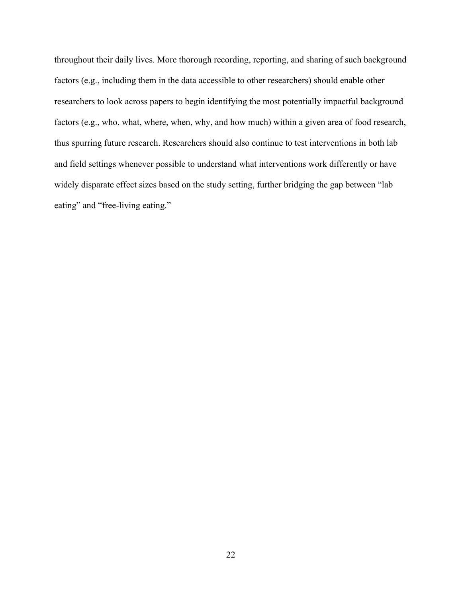throughout their daily lives. More thorough recording, reporting, and sharing of such background factors (e.g., including them in the data accessible to other researchers) should enable other researchers to look across papers to begin identifying the most potentially impactful background factors (e.g., who, what, where, when, why, and how much) within a given area of food research, thus spurring future research. Researchers should also continue to test interventions in both lab and field settings whenever possible to understand what interventions work differently or have widely disparate effect sizes based on the study setting, further bridging the gap between "lab eating" and "free-living eating."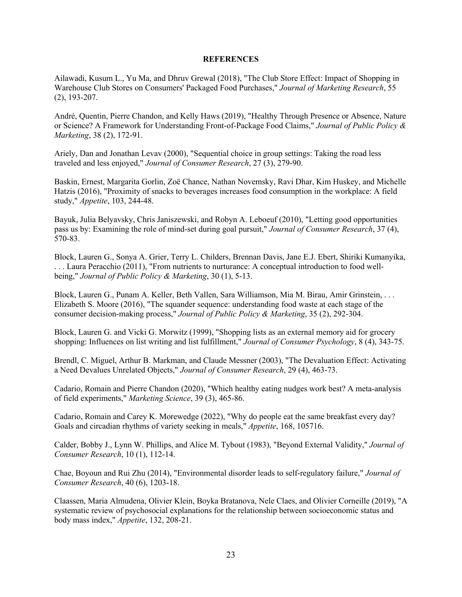#### **REFERENCES**

Ailawadi, Kusum L., Yu Ma, and Dhruv Grewal (2018), "The Club Store Effect: Impact of Shopping in Warehouse Club Stores on Consumers' Packaged Food Purchases," *Journal of Marketing Research*, 55 (2), 193-207.

André, Quentin, Pierre Chandon, and Kelly Haws (2019), "Healthy Through Presence or Absence, Nature or Science? A Framework for Understanding Front-of-Package Food Claims," *Journal of Public Policy & Marketing*, 38 (2), 172-91.

Ariely, Dan and Jonathan Levav (2000), "Sequential choice in group settings: Taking the road less traveled and less enjoyed," *Journal of Consumer Research*, 27 (3), 279-90.

Baskin, Ernest, Margarita Gorlin, Zoë Chance, Nathan Novemsky, Ravi Dhar, Kim Huskey, and Michelle Hatzis (2016), "Proximity of snacks to beverages increases food consumption in the workplace: A field study," *Appetite*, 103, 244-48.

Bayuk, Julia Belyavsky, Chris Janiszewski, and Robyn A. Leboeuf (2010), "Letting good opportunities pass us by: Examining the role of mind-set during goal pursuit," *Journal of Consumer Research*, 37 (4), 570-83.

Block, Lauren G., Sonya A. Grier, Terry L. Childers, Brennan Davis, Jane E.J. Ebert, Shiriki Kumanyika, . . . Laura Peracchio (2011), "From nutrients to nurturance: A conceptual introduction to food wellbeing," *Journal of Public Policy & Marketing*, 30 (1), 5-13.

Block, Lauren G., Punam A. Keller, Beth Vallen, Sara Williamson, Mia M. Birau, Amir Grinstein, . . . Elizabeth S. Moore (2016), "The squander sequence: understanding food waste at each stage of the consumer decision-making process," *Journal of Public Policy & Marketing*, 35 (2), 292-304.

Block, Lauren G. and Vicki G. Morwitz (1999), "Shopping lists as an external memory aid for grocery shopping: Influences on list writing and list fulfillment," *Journal of Consumer Psychology*, 8 (4), 343-75.

Brendl, C. Miguel, Arthur B. Markman, and Claude Messner (2003), "The Devaluation Effect: Activating a Need Devalues Unrelated Objects," *Journal of Consumer Research*, 29 (4), 463-73.

Cadario, Romain and Pierre Chandon (2020), "Which healthy eating nudges work best? A meta-analysis of field experiments," *Marketing Science*, 39 (3), 465-86.

Cadario, Romain and Carey K. Morewedge (2022), "Why do people eat the same breakfast every day? Goals and circadian rhythms of variety seeking in meals," *Appetite*, 168, 105716.

Calder, Bobby J., Lynn W. Phillips, and Alice M. Tybout (1983), "Beyond External Validity," *Journal of Consumer Research*, 10 (1), 112-14.

Chae, Boyoun and Rui Zhu (2014), "Environmental disorder leads to self-regulatory failure," *Journal of Consumer Research*, 40 (6), 1203-18.

Claassen, Maria Almudena, Olivier Klein, Boyka Bratanova, Nele Claes, and Olivier Corneille (2019), "A systematic review of psychosocial explanations for the relationship between socioeconomic status and body mass index," *Appetite*, 132, 208-21.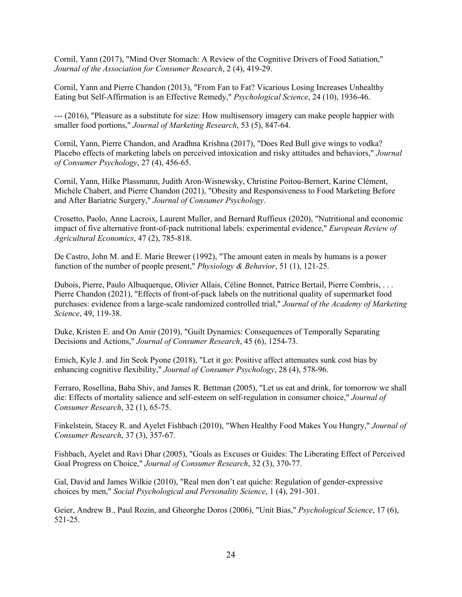Cornil, Yann (2017), "Mind Over Stomach: A Review of the Cognitive Drivers of Food Satiation," *Journal of the Association for Consumer Research*, 2 (4), 419-29.

Cornil, Yann and Pierre Chandon (2013), "From Fan to Fat? Vicarious Losing Increases Unhealthy Eating but Self-Affirmation is an Effective Remedy," *Psychological Science*, 24 (10), 1936-46.

--- (2016), "Pleasure as a substitute for size: How multisensory imagery can make people happier with smaller food portions," *Journal of Marketing Research*, 53 (5), 847-64.

Cornil, Yann, Pierre Chandon, and Aradhna Krishna (2017), "Does Red Bull give wings to vodka? Placebo effects of marketing labels on perceived intoxication and risky attitudes and behaviors," *Journal of Consumer Psychology*, 27 (4), 456-65.

Cornil, Yann, Hilke Plassmann, Judith Aron-Wisnewsky, Christine Poitou-Bernert, Karine Clément, Michèle Chabert, and Pierre Chandon (2021), "Obesity and Responsiveness to Food Marketing Before and After Bariatric Surgery," *Journal of Consumer Psychology*.

Crosetto, Paolo, Anne Lacroix, Laurent Muller, and Bernard Ruffieux (2020), "Nutritional and economic impact of five alternative front-of-pack nutritional labels: experimental evidence," *European Review of Agricultural Economics*, 47 (2), 785-818.

De Castro, John M. and E. Marie Brewer (1992), "The amount eaten in meals by humans is a power function of the number of people present," *Physiology & Behavior*, 51 (1), 121-25.

Dubois, Pierre, Paulo Albuquerque, Olivier Allais, Céline Bonnet, Patrice Bertail, Pierre Combris, . . . Pierre Chandon (2021), "Effects of front-of-pack labels on the nutritional quality of supermarket food purchases: evidence from a large-scale randomized controlled trial," *Journal of the Academy of Marketing Science*, 49, 119-38.

Duke, Kristen E. and On Amir (2019), "Guilt Dynamics: Consequences of Temporally Separating Decisions and Actions," *Journal of Consumer Research*, 45 (6), 1254-73.

Emich, Kyle J. and Jin Seok Pyone (2018), "Let it go: Positive affect attenuates sunk cost bias by enhancing cognitive flexibility," *Journal of Consumer Psychology*, 28 (4), 578-96.

Ferraro, Rosellina, Baba Shiv, and James R. Bettman (2005), "Let us eat and drink, for tomorrow we shall die: Effects of mortality salience and self-esteem on self-regulation in consumer choice," *Journal of Consumer Research*, 32 (1), 65-75.

Finkelstein, Stacey R. and Ayelet Fishbach (2010), "When Healthy Food Makes You Hungry," *Journal of Consumer Research*, 37 (3), 357-67.

Fishbach, Ayelet and Ravi Dhar (2005), "Goals as Excuses or Guides: The Liberating Effect of Perceived Goal Progress on Choice," *Journal of Consumer Research*, 32 (3), 370-77.

Gal, David and James Wilkie (2010), "Real men don't eat quiche: Regulation of gender-expressive choices by men," *Social Psychological and Personality Science*, 1 (4), 291-301.

Geier, Andrew B., Paul Rozin, and Gheorghe Doros (2006), "Unit Bias," *Psychological Science*, 17 (6), 521-25.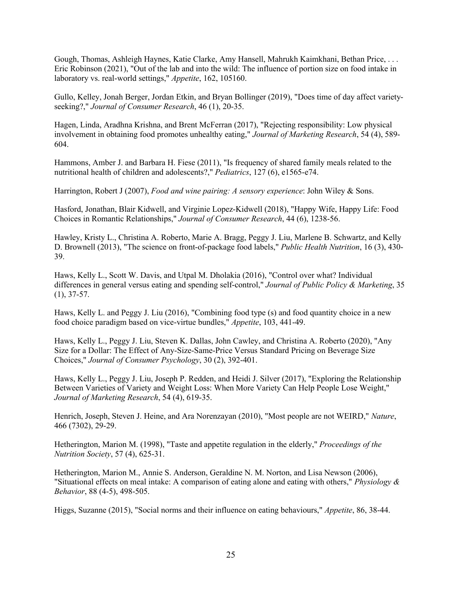Gough, Thomas, Ashleigh Haynes, Katie Clarke, Amy Hansell, Mahrukh Kaimkhani, Bethan Price, . . . Eric Robinson (2021), "Out of the lab and into the wild: The influence of portion size on food intake in laboratory vs. real-world settings," *Appetite*, 162, 105160.

Gullo, Kelley, Jonah Berger, Jordan Etkin, and Bryan Bollinger (2019), "Does time of day affect varietyseeking?," *Journal of Consumer Research*, 46 (1), 20-35.

Hagen, Linda, Aradhna Krishna, and Brent McFerran (2017), "Rejecting responsibility: Low physical involvement in obtaining food promotes unhealthy eating," *Journal of Marketing Research*, 54 (4), 589- 604.

Hammons, Amber J. and Barbara H. Fiese (2011), "Is frequency of shared family meals related to the nutritional health of children and adolescents?," *Pediatrics*, 127 (6), e1565-e74.

Harrington, Robert J (2007), *Food and wine pairing: A sensory experience*: John Wiley & Sons.

Hasford, Jonathan, Blair Kidwell, and Virginie Lopez-Kidwell (2018), "Happy Wife, Happy Life: Food Choices in Romantic Relationships," *Journal of Consumer Research*, 44 (6), 1238-56.

Hawley, Kristy L., Christina A. Roberto, Marie A. Bragg, Peggy J. Liu, Marlene B. Schwartz, and Kelly D. Brownell (2013), "The science on front-of-package food labels," *Public Health Nutrition*, 16 (3), 430- 39.

Haws, Kelly L., Scott W. Davis, and Utpal M. Dholakia (2016), "Control over what? Individual differences in general versus eating and spending self-control," *Journal of Public Policy & Marketing*, 35 (1), 37-57.

Haws, Kelly L. and Peggy J. Liu (2016), "Combining food type (s) and food quantity choice in a new food choice paradigm based on vice-virtue bundles," *Appetite*, 103, 441-49.

Haws, Kelly L., Peggy J. Liu, Steven K. Dallas, John Cawley, and Christina A. Roberto (2020), "Any Size for a Dollar: The Effect of Any‐Size‐Same‐Price Versus Standard Pricing on Beverage Size Choices," *Journal of Consumer Psychology*, 30 (2), 392-401.

Haws, Kelly L., Peggy J. Liu, Joseph P. Redden, and Heidi J. Silver (2017), "Exploring the Relationship Between Varieties of Variety and Weight Loss: When More Variety Can Help People Lose Weight," *Journal of Marketing Research*, 54 (4), 619-35.

Henrich, Joseph, Steven J. Heine, and Ara Norenzayan (2010), "Most people are not WEIRD," *Nature*, 466 (7302), 29-29.

Hetherington, Marion M. (1998), "Taste and appetite regulation in the elderly," *Proceedings of the Nutrition Society*, 57 (4), 625-31.

Hetherington, Marion M., Annie S. Anderson, Geraldine N. M. Norton, and Lisa Newson (2006), "Situational effects on meal intake: A comparison of eating alone and eating with others," *Physiology & Behavior*, 88 (4-5), 498-505.

Higgs, Suzanne (2015), "Social norms and their influence on eating behaviours," *Appetite*, 86, 38-44.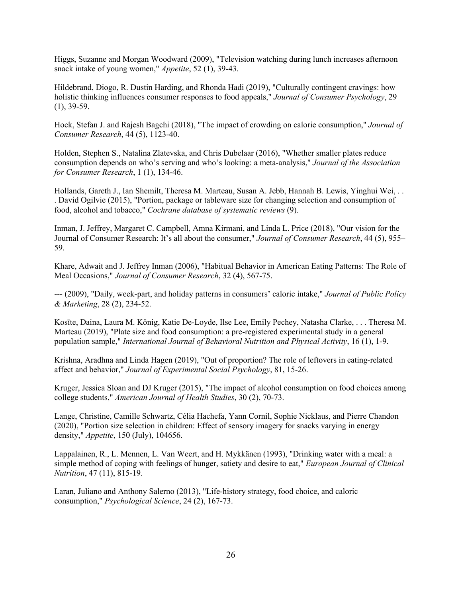Higgs, Suzanne and Morgan Woodward (2009), "Television watching during lunch increases afternoon snack intake of young women," *Appetite*, 52 (1), 39-43.

Hildebrand, Diogo, R. Dustin Harding, and Rhonda Hadi (2019), "Culturally contingent cravings: how holistic thinking influences consumer responses to food appeals," *Journal of Consumer Psychology*, 29 (1), 39-59.

Hock, Stefan J. and Rajesh Bagchi (2018), "The impact of crowding on calorie consumption," *Journal of Consumer Research*, 44 (5), 1123-40.

Holden, Stephen S., Natalina Zlatevska, and Chris Dubelaar (2016), "Whether smaller plates reduce consumption depends on who's serving and who's looking: a meta-analysis," *Journal of the Association for Consumer Research*, 1 (1), 134-46.

Hollands, Gareth J., Ian Shemilt, Theresa M. Marteau, Susan A. Jebb, Hannah B. Lewis, Yinghui Wei, . . . David Ogilvie (2015), "Portion, package or tableware size for changing selection and consumption of food, alcohol and tobacco," *Cochrane database of systematic reviews* (9).

Inman, J. Jeffrey, Margaret C. Campbell, Amna Kirmani, and Linda L. Price (2018), "Our vision for the Journal of Consumer Research: It's all about the consumer," *Journal of Consumer Research*, 44 (5), 955– 59.

Khare, Adwait and J. Jeffrey Inman (2006), "Habitual Behavior in American Eating Patterns: The Role of Meal Occasions," *Journal of Consumer Research*, 32 (4), 567-75.

--- (2009), "Daily, week-part, and holiday patterns in consumers' caloric intake," *Journal of Public Policy & Marketing*, 28 (2), 234-52.

Kosīte, Daina, Laura M. König, Katie De-Loyde, Ilse Lee, Emily Pechey, Natasha Clarke, . . . Theresa M. Marteau (2019), "Plate size and food consumption: a pre-registered experimental study in a general population sample," *International Journal of Behavioral Nutrition and Physical Activity*, 16 (1), 1-9.

Krishna, Aradhna and Linda Hagen (2019), "Out of proportion? The role of leftovers in eating-related affect and behavior," *Journal of Experimental Social Psychology*, 81, 15-26.

Kruger, Jessica Sloan and DJ Kruger (2015), "The impact of alcohol consumption on food choices among college students," *American Journal of Health Studies*, 30 (2), 70-73.

Lange, Christine, Camille Schwartz, Célia Hachefa, Yann Cornil, Sophie Nicklaus, and Pierre Chandon (2020), "Portion size selection in children: Effect of sensory imagery for snacks varying in energy density," *Appetite*, 150 (July), 104656.

Lappalainen, R., L. Mennen, L. Van Weert, and H. Mykkänen (1993), "Drinking water with a meal: a simple method of coping with feelings of hunger, satiety and desire to eat," *European Journal of Clinical Nutrition*, 47 (11), 815-19.

Laran, Juliano and Anthony Salerno (2013), "Life-history strategy, food choice, and caloric consumption," *Psychological Science*, 24 (2), 167-73.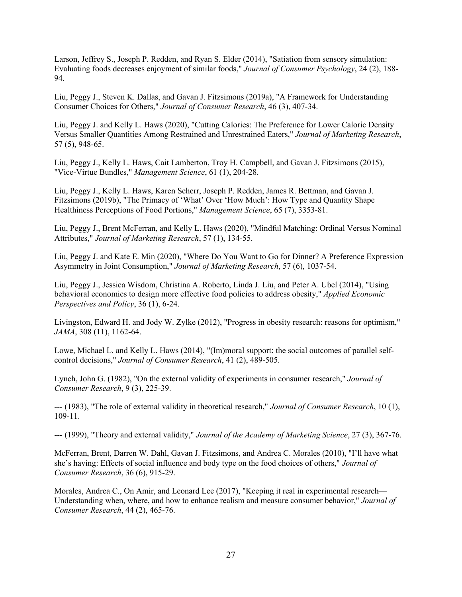Larson, Jeffrey S., Joseph P. Redden, and Ryan S. Elder (2014), "Satiation from sensory simulation: Evaluating foods decreases enjoyment of similar foods," *Journal of Consumer Psychology*, 24 (2), 188- 94.

Liu, Peggy J., Steven K. Dallas, and Gavan J. Fitzsimons (2019a), "A Framework for Understanding Consumer Choices for Others," *Journal of Consumer Research*, 46 (3), 407-34.

Liu, Peggy J. and Kelly L. Haws (2020), "Cutting Calories: The Preference for Lower Caloric Density Versus Smaller Quantities Among Restrained and Unrestrained Eaters," *Journal of Marketing Research*, 57 (5), 948-65.

Liu, Peggy J., Kelly L. Haws, Cait Lamberton, Troy H. Campbell, and Gavan J. Fitzsimons (2015), "Vice-Virtue Bundles," *Management Science*, 61 (1), 204-28.

Liu, Peggy J., Kelly L. Haws, Karen Scherr, Joseph P. Redden, James R. Bettman, and Gavan J. Fitzsimons (2019b), "The Primacy of 'What' Over 'How Much': How Type and Quantity Shape Healthiness Perceptions of Food Portions," *Management Science*, 65 (7), 3353-81.

Liu, Peggy J., Brent McFerran, and Kelly L. Haws (2020), "Mindful Matching: Ordinal Versus Nominal Attributes," *Journal of Marketing Research*, 57 (1), 134-55.

Liu, Peggy J. and Kate E. Min (2020), "Where Do You Want to Go for Dinner? A Preference Expression Asymmetry in Joint Consumption," *Journal of Marketing Research*, 57 (6), 1037-54.

Liu, Peggy J., Jessica Wisdom, Christina A. Roberto, Linda J. Liu, and Peter A. Ubel (2014), "Using behavioral economics to design more effective food policies to address obesity," *Applied Economic Perspectives and Policy*, 36 (1), 6-24.

Livingston, Edward H. and Jody W. Zylke (2012), "Progress in obesity research: reasons for optimism," *JAMA*, 308 (11), 1162-64.

Lowe, Michael L. and Kelly L. Haws (2014), "(Im)moral support: the social outcomes of parallel selfcontrol decisions," *Journal of Consumer Research*, 41 (2), 489-505.

Lynch, John G. (1982), "On the external validity of experiments in consumer research," *Journal of Consumer Research*, 9 (3), 225-39.

--- (1983), "The role of external validity in theoretical research," *Journal of Consumer Research*, 10 (1), 109-11.

--- (1999), "Theory and external validity," *Journal of the Academy of Marketing Science*, 27 (3), 367-76.

McFerran, Brent, Darren W. Dahl, Gavan J. Fitzsimons, and Andrea C. Morales (2010), "I'll have what she's having: Effects of social influence and body type on the food choices of others," *Journal of Consumer Research*, 36 (6), 915-29.

Morales, Andrea C., On Amir, and Leonard Lee (2017), "Keeping it real in experimental research— Understanding when, where, and how to enhance realism and measure consumer behavior," *Journal of Consumer Research*, 44 (2), 465-76.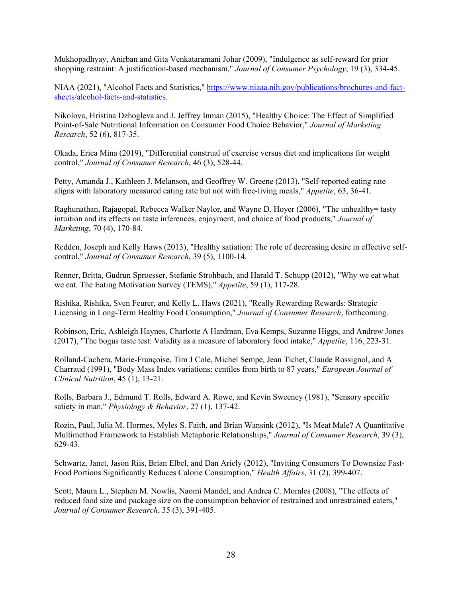Mukhopadhyay, Anirban and Gita Venkataramani Johar (2009), "Indulgence as self-reward for prior shopping restraint: A justification-based mechanism," *Journal of Consumer Psychology*, 19 (3), 334-45.

NIAA (2021), "Alcohol Facts and Statistics," https://www.niaaa.nih.gov/publications/brochures-and-factsheets/alcohol-facts-and-statistics.

Nikolova, Hristina Dzhogleva and J. Jeffrey Inman (2015), "Healthy Choice: The Effect of Simplified Point-of-Sale Nutritional Information on Consumer Food Choice Behavior," *Journal of Marketing Research*, 52 (6), 817-35.

Okada, Erica Mina (2019), "Differential construal of exercise versus diet and implications for weight control," *Journal of Consumer Research*, 46 (3), 528-44.

Petty, Amanda J., Kathleen J. Melanson, and Geoffrey W. Greene (2013), "Self-reported eating rate aligns with laboratory measured eating rate but not with free-living meals," *Appetite*, 63, 36-41.

Raghunathan, Rajagopal, Rebecca Walker Naylor, and Wayne D. Hoyer (2006), "The unhealthy= tasty intuition and its effects on taste inferences, enjoyment, and choice of food products," *Journal of Marketing*, 70 (4), 170-84.

Redden, Joseph and Kelly Haws (2013), "Healthy satiation: The role of decreasing desire in effective selfcontrol," *Journal of Consumer Research*, 39 (5), 1100-14.

Renner, Britta, Gudrun Sproesser, Stefanie Strohbach, and Harald T. Schupp (2012), "Why we eat what we eat. The Eating Motivation Survey (TEMS)," *Appetite*, 59 (1), 117-28.

Rishika, Rishika, Sven Feurer, and Kelly L. Haws (2021), "Really Rewarding Rewards: Strategic Licensing in Long-Term Healthy Food Consumption," *Journal of Consumer Research*, forthcoming.

Robinson, Eric, Ashleigh Haynes, Charlotte A Hardman, Eva Kemps, Suzanne Higgs, and Andrew Jones (2017), "The bogus taste test: Validity as a measure of laboratory food intake," *Appetite*, 116, 223-31.

Rolland-Cachera, Marie-Françoise, Tim J Cole, Michel Sempe, Jean Tichet, Claude Rossignol, and A Charraud (1991), "Body Mass Index variations: centiles from birth to 87 years," *European Journal of Clinical Nutrition*, 45 (1), 13-21.

Rolls, Barbara J., Edmund T. Rolls, Edward A. Rowe, and Kevin Sweeney (1981), "Sensory specific satiety in man," *Physiology & Behavior*, 27 (1), 137-42.

Rozin, Paul, Julia M. Hormes, Myles S. Faith, and Brian Wansink (2012), "Is Meat Male? A Quantitative Multimethod Framework to Establish Metaphoric Relationships," *Journal of Consumer Research*, 39 (3), 629-43.

Schwartz, Janet, Jason Riis, Brian Elbel, and Dan Ariely (2012), "Inviting Consumers To Downsize Fast-Food Portions Significantly Reduces Calorie Consumption," *Health Affairs*, 31 (2), 399-407.

Scott, Maura L., Stephen M. Nowlis, Naomi Mandel, and Andrea C. Morales (2008), "The effects of reduced food size and package size on the consumption behavior of restrained and unrestrained eaters," *Journal of Consumer Research*, 35 (3), 391-405.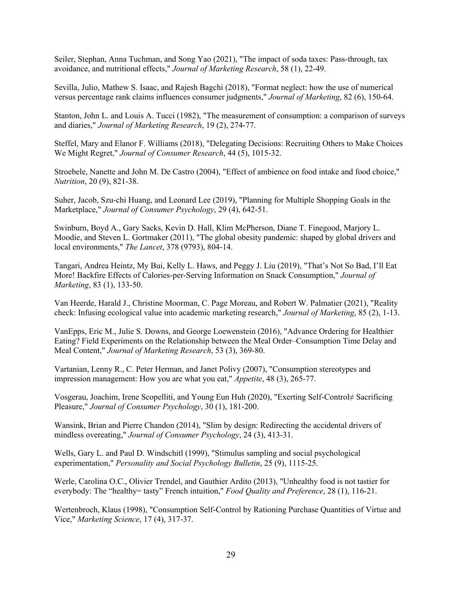Seiler, Stephan, Anna Tuchman, and Song Yao (2021), "The impact of soda taxes: Pass-through, tax avoidance, and nutritional effects," *Journal of Marketing Research*, 58 (1), 22-49.

Sevilla, Julio, Mathew S. Isaac, and Rajesh Bagchi (2018), "Format neglect: how the use of numerical versus percentage rank claims influences consumer judgments," *Journal of Marketing*, 82 (6), 150-64.

Stanton, John L. and Louis A. Tucci (1982), "The measurement of consumption: a comparison of surveys and diaries," *Journal of Marketing Research*, 19 (2), 274-77.

Steffel, Mary and Elanor F. Williams (2018), "Delegating Decisions: Recruiting Others to Make Choices We Might Regret," *Journal of Consumer Research*, 44 (5), 1015-32.

Stroebele, Nanette and John M. De Castro (2004), "Effect of ambience on food intake and food choice," *Nutrition*, 20 (9), 821-38.

Suher, Jacob, Szu‐chi Huang, and Leonard Lee (2019), "Planning for Multiple Shopping Goals in the Marketplace," *Journal of Consumer Psychology*, 29 (4), 642-51.

Swinburn, Boyd A., Gary Sacks, Kevin D. Hall, Klim McPherson, Diane T. Finegood, Marjory L. Moodie, and Steven L. Gortmaker (2011), "The global obesity pandemic: shaped by global drivers and local environments," *The Lancet*, 378 (9793), 804-14.

Tangari, Andrea Heintz, My Bui, Kelly L. Haws, and Peggy J. Liu (2019), "That's Not So Bad, I'll Eat More! Backfire Effects of Calories-per-Serving Information on Snack Consumption," *Journal of Marketing*, 83 (1), 133-50.

Van Heerde, Harald J., Christine Moorman, C. Page Moreau, and Robert W. Palmatier (2021), "Reality check: Infusing ecological value into academic marketing research," *Journal of Marketing*, 85 (2), 1-13.

VanEpps, Eric M., Julie S. Downs, and George Loewenstein (2016), "Advance Ordering for Healthier Eating? Field Experiments on the Relationship between the Meal Order–Consumption Time Delay and Meal Content," *Journal of Marketing Research*, 53 (3), 369-80.

Vartanian, Lenny R., C. Peter Herman, and Janet Polivy (2007), "Consumption stereotypes and impression management: How you are what you eat," *Appetite*, 48 (3), 265-77.

Vosgerau, Joachim, Irene Scopelliti, and Young Eun Huh (2020), "Exerting Self‐Control≠ Sacrificing Pleasure," *Journal of Consumer Psychology*, 30 (1), 181-200.

Wansink, Brian and Pierre Chandon (2014), "Slim by design: Redirecting the accidental drivers of mindless overeating," *Journal of Consumer Psychology*, 24 (3), 413-31.

Wells, Gary L. and Paul D. Windschitl (1999), "Stimulus sampling and social psychological experimentation," *Personality and Social Psychology Bulletin*, 25 (9), 1115-25.

Werle, Carolina O.C., Olivier Trendel, and Gauthier Ardito (2013), "Unhealthy food is not tastier for everybody: The "healthy= tasty" French intuition," *Food Quality and Preference*, 28 (1), 116-21.

Wertenbroch, Klaus (1998), "Consumption Self-Control by Rationing Purchase Quantities of Virtue and Vice," *Marketing Science*, 17 (4), 317-37.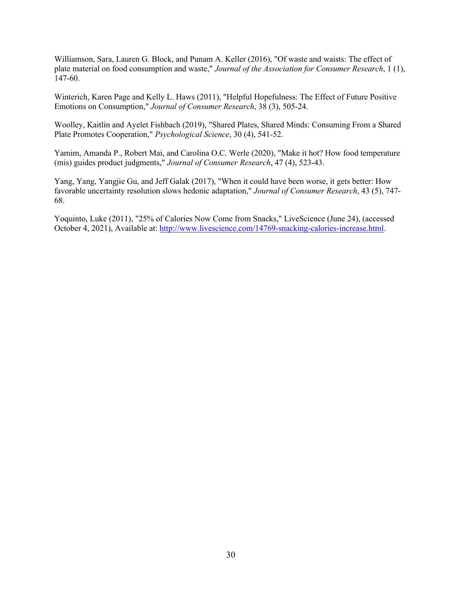Williamson, Sara, Lauren G. Block, and Punam A. Keller (2016), "Of waste and waists: The effect of plate material on food consumption and waste," *Journal of the Association for Consumer Research*, 1 (1), 147-60.

Winterich, Karen Page and Kelly L. Haws (2011), "Helpful Hopefulness: The Effect of Future Positive Emotions on Consumption," *Journal of Consumer Research*, 38 (3), 505-24.

Woolley, Kaitlin and Ayelet Fishbach (2019), "Shared Plates, Shared Minds: Consuming From a Shared Plate Promotes Cooperation," *Psychological Science*, 30 (4), 541-52.

Yamim, Amanda P., Robert Mai, and Carolina O.C. Werle (2020), "Make it hot? How food temperature (mis) guides product judgments," *Journal of Consumer Research*, 47 (4), 523-43.

Yang, Yang, Yangjie Gu, and Jeff Galak (2017), "When it could have been worse, it gets better: How favorable uncertainty resolution slows hedonic adaptation," *Journal of Consumer Research*, 43 (5), 747- 68.

Yoquinto, Luke (2011), "25% of Calories Now Come from Snacks," LiveScience (June 24), (accessed October 4, 2021), Available at: http://www.livescience.com/14769-snacking-calories-increase.html.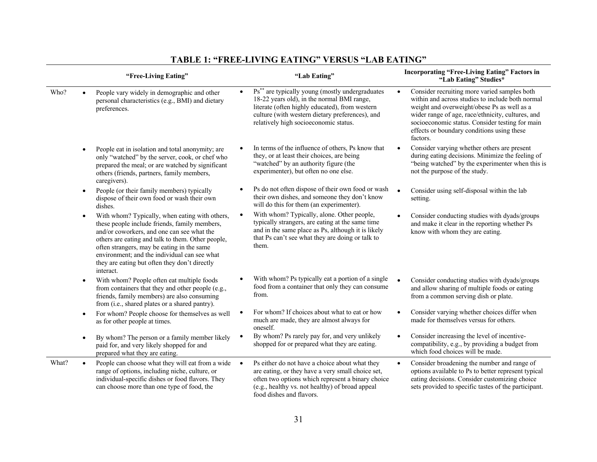|       | "Free-Living Eating"                                                                                                                                                                                                                                                                                                                                                        | "Lab Eating"                                                                                                                                                                                                                                                         | <b>Incorporating "Free-Living Eating" Factors in</b><br>"Lab Eating" Studies*                                                                                                                                                                                                                                                  |
|-------|-----------------------------------------------------------------------------------------------------------------------------------------------------------------------------------------------------------------------------------------------------------------------------------------------------------------------------------------------------------------------------|----------------------------------------------------------------------------------------------------------------------------------------------------------------------------------------------------------------------------------------------------------------------|--------------------------------------------------------------------------------------------------------------------------------------------------------------------------------------------------------------------------------------------------------------------------------------------------------------------------------|
| Who?  | People vary widely in demographic and other<br>personal characteristics (e.g., BMI) and dietary<br>preferences.                                                                                                                                                                                                                                                             | Ps <sup>**</sup> are typically young (mostly undergraduates<br>$\bullet$<br>18-22 years old), in the normal BMI range,<br>literate (often highly educated), from western<br>culture (with western dietary preferences), and<br>relatively high socioeconomic status. | Consider recruiting more varied samples both<br>$\bullet$<br>within and across studies to include both normal<br>weight and overweight/obese Ps as well as a<br>wider range of age, race/ethnicity, cultures, and<br>socioeconomic status. Consider testing for main<br>effects or boundary conditions using these<br>factors. |
|       | People eat in isolation and total anonymity; are<br>$\bullet$<br>only "watched" by the server, cook, or chef who<br>prepared the meal; or are watched by significant<br>others (friends, partners, family members,<br>caregivers).                                                                                                                                          | In terms of the influence of others, Ps know that<br>they, or at least their choices, are being<br>"watched" by an authority figure (the<br>experimenter), but often no one else.                                                                                    | Consider varying whether others are present<br>during eating decisions. Minimize the feeling of<br>"being watched" by the experimenter when this is<br>not the purpose of the study.                                                                                                                                           |
|       | People (or their family members) typically<br>$\bullet$<br>dispose of their own food or wash their own<br>dishes.                                                                                                                                                                                                                                                           | Ps do not often dispose of their own food or wash<br>their own dishes, and someone they don't know<br>will do this for them (an experimenter).                                                                                                                       | Consider using self-disposal within the lab<br>setting.                                                                                                                                                                                                                                                                        |
|       | With whom? Typically, when eating with others,<br>$\bullet$<br>these people include friends, family members,<br>and/or coworkers, and one can see what the<br>others are eating and talk to them. Other people,<br>often strangers, may be eating in the same<br>environment; and the individual can see what<br>they are eating but often they don't directly<br>interact. | With whom? Typically, alone. Other people,<br>$\bullet$<br>typically strangers, are eating at the same time<br>and in the same place as Ps, although it is likely<br>that Ps can't see what they are doing or talk to<br>them.                                       | Consider conducting studies with dyads/groups<br>and make it clear in the reporting whether Ps<br>know with whom they are eating.                                                                                                                                                                                              |
|       | With whom? People often eat multiple foods<br>$\bullet$<br>from containers that they and other people (e.g.,<br>friends, family members) are also consuming<br>from (i.e., shared plates or a shared pantry).                                                                                                                                                               | With whom? Ps typically eat a portion of a single<br>food from a container that only they can consume<br>from.                                                                                                                                                       | Consider conducting studies with dyads/groups<br>$\bullet$<br>and allow sharing of multiple foods or eating<br>from a common serving dish or plate.                                                                                                                                                                            |
|       | For whom? People choose for themselves as well<br>$\bullet$<br>as for other people at times.                                                                                                                                                                                                                                                                                | For whom? If choices about what to eat or how<br>much are made, they are almost always for<br>oneself.                                                                                                                                                               | Consider varying whether choices differ when<br>made for themselves versus for others.                                                                                                                                                                                                                                         |
|       | By whom? The person or a family member likely<br>$\bullet$<br>paid for, and very likely shopped for and<br>prepared what they are eating.                                                                                                                                                                                                                                   | By whom? Ps rarely pay for, and very unlikely<br>shopped for or prepared what they are eating.                                                                                                                                                                       | Consider increasing the level of incentive-<br>$\bullet$<br>compatibility, e.g., by providing a budget from<br>which food choices will be made.                                                                                                                                                                                |
| What? | People can choose what they will eat from a wide<br>$\bullet$<br>range of options, including niche, culture, or<br>individual-specific dishes or food flavors. They<br>can choose more than one type of food, the                                                                                                                                                           | Ps either do not have a choice about what they<br>$\bullet$<br>are eating, or they have a very small choice set,<br>often two options which represent a binary choice<br>(e.g., healthy vs. not healthy) of broad appeal<br>food dishes and flavors.                 | Consider broadening the number and range of<br>$\bullet$<br>options available to Ps to better represent typical<br>eating decisions. Consider customizing choice<br>sets provided to specific tastes of the participant.                                                                                                       |

# **TABLE 1: "FREE-LIVING EATING" VERSUS "LAB EATING"**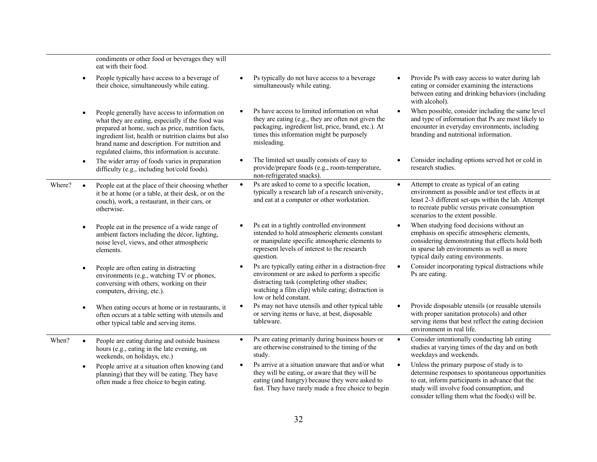|        |           | condiments or other food or beverages they will<br>eat with their food.                                                                                                                                                                                                                                             |           |                                                                                                                                                                                                                                      |           |                                                                                                                                                                                                                                                 |
|--------|-----------|---------------------------------------------------------------------------------------------------------------------------------------------------------------------------------------------------------------------------------------------------------------------------------------------------------------------|-----------|--------------------------------------------------------------------------------------------------------------------------------------------------------------------------------------------------------------------------------------|-----------|-------------------------------------------------------------------------------------------------------------------------------------------------------------------------------------------------------------------------------------------------|
|        | $\bullet$ | People typically have access to a beverage of<br>their choice, simultaneously while eating.                                                                                                                                                                                                                         |           | Ps typically do not have access to a beverage<br>simultaneously while eating.                                                                                                                                                        |           | Provide Ps with easy access to water during lab<br>eating or consider examining the interactions<br>between eating and drinking behaviors (including<br>with alcohol).                                                                          |
|        | $\bullet$ | People generally have access to information on<br>what they are eating, especially if the food was<br>prepared at home, such as price, nutrition facts,<br>ingredient list, health or nutrition claims but also<br>brand name and description. For nutrition and<br>regulated claims, this information is accurate. |           | Ps have access to limited information on what<br>they are eating (e.g., they are often not given the<br>packaging, ingredient list, price, brand, etc.). At<br>times this information might be purposely<br>misleading.              |           | When possible, consider including the same level<br>and type of information that Ps are most likely to<br>encounter in everyday environments, including<br>branding and nutritional information.                                                |
|        | $\bullet$ | The wider array of foods varies in preparation<br>difficulty (e.g., including hot/cold foods).                                                                                                                                                                                                                      |           | The limited set usually consists of easy to<br>provide/prepare foods (e.g., room-temperature,<br>non-refrigerated snacks).                                                                                                           |           | Consider including options served hot or cold in<br>research studies.                                                                                                                                                                           |
| Where? |           | People eat at the place of their choosing whether<br>it be at home (or a table, at their desk, or on the<br>couch), work, a restaurant, in their cars, or<br>otherwise.                                                                                                                                             | $\bullet$ | Ps are asked to come to a specific location,<br>typically a research lab of a research university,<br>and eat at a computer or other workstation.                                                                                    | $\bullet$ | Attempt to create as typical of an eating<br>environment as possible and/or test effects in at<br>least 2-3 different set-ups within the lab. Attempt<br>to recreate public versus private consumption<br>scenarios to the extent possible.     |
|        |           | People eat in the presence of a wide range of<br>ambient factors including the décor, lighting,<br>noise level, views, and other atmospheric<br>elements.                                                                                                                                                           |           | Ps eat in a tightly controlled environment<br>intended to hold atmospheric elements constant<br>or manipulate specific atmospheric elements to<br>represent levels of interest to the research<br>question.                          |           | When studying food decisions without an<br>emphasis on specific atmospheric elements,<br>considering demonstrating that effects hold both<br>in sparse lab environments as well as more<br>typical daily eating environments.                   |
|        |           | People are often eating in distracting<br>environments (e.g., watching TV or phones,<br>conversing with others, working on their<br>computers, driving, etc.).                                                                                                                                                      | $\bullet$ | Ps are typically eating either in a distraction-free<br>environment or are asked to perform a specific<br>distracting task (completing other studies;<br>watching a film clip) while eating; distraction is<br>low or held constant. | $\bullet$ | Consider incorporating typical distractions while<br>Ps are eating.                                                                                                                                                                             |
|        | $\bullet$ | When eating occurs at home or in restaurants, it<br>often occurs at a table setting with utensils and<br>other typical table and serving items.                                                                                                                                                                     |           | Ps may not have utensils and other typical table<br>or serving items or have, at best, disposable<br>tableware.                                                                                                                      |           | Provide disposable utensils (or reusable utensils<br>with proper sanitation protocols) and other<br>serving items that best reflect the eating decision<br>environment in real life.                                                            |
| When?  |           | People are eating during and outside business<br>hours (e.g., eating in the late evening, on<br>weekends, on holidays, etc.)                                                                                                                                                                                        | $\bullet$ | Ps are eating primarily during business hours or<br>are otherwise constrained to the timing of the<br>study.                                                                                                                         | $\bullet$ | Consider intentionally conducting lab eating<br>studies at varying times of the day and on both<br>weekdays and weekends.                                                                                                                       |
|        | $\bullet$ | People arrive at a situation often knowing (and<br>planning) that they will be eating. They have<br>often made a free choice to begin eating.                                                                                                                                                                       | $\bullet$ | Ps arrive at a situation unaware that and/or what<br>they will be eating, or aware that they will be<br>eating (and hungry) because they were asked to<br>fast. They have rarely made a free choice to begin                         | $\bullet$ | Unless the primary purpose of study is to<br>determine responses to spontaneous opportunities<br>to eat, inform participants in advance that the<br>study will involve food consumption, and<br>consider telling them what the food(s) will be. |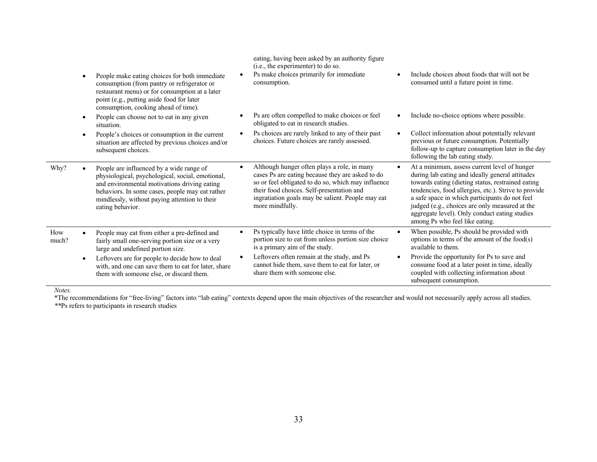|              | People make eating choices for both immediate<br>consumption (from pantry or refrigerator or<br>restaurant menu) or for consumption at a later<br>point (e.g., putting aside food for later<br>consumption, cooking ahead of time).                                  | eating, having been asked by an authority figure<br>(i.e., the experimenter) to do so.<br>Ps make choices primarily for immediate<br>consumption.                                                                                                                          | $\bullet$ | Include choices about foods that will not be<br>consumed until a future point in time.                                                                                                                                                                                                                                                                                                              |
|--------------|----------------------------------------------------------------------------------------------------------------------------------------------------------------------------------------------------------------------------------------------------------------------|----------------------------------------------------------------------------------------------------------------------------------------------------------------------------------------------------------------------------------------------------------------------------|-----------|-----------------------------------------------------------------------------------------------------------------------------------------------------------------------------------------------------------------------------------------------------------------------------------------------------------------------------------------------------------------------------------------------------|
|              | People can choose not to eat in any given<br>situation.                                                                                                                                                                                                              | Ps are often compelled to make choices or feel<br>obligated to eat in research studies.                                                                                                                                                                                    | $\bullet$ | Include no-choice options where possible.                                                                                                                                                                                                                                                                                                                                                           |
|              | People's choices or consumption in the current<br>situation are affected by previous choices and/or<br>subsequent choices.                                                                                                                                           | Ps choices are rarely linked to any of their past<br>choices. Future choices are rarely assessed.                                                                                                                                                                          | $\bullet$ | Collect information about potentially relevant<br>previous or future consumption. Potentially<br>follow-up to capture consumption later in the day<br>following the lab eating study.                                                                                                                                                                                                               |
| Why?         | People are influenced by a wide range of<br>physiological, psychological, social, emotional,<br>and environmental motivations driving eating<br>behaviors. In some cases, people may eat rather<br>mindlessly, without paying attention to their<br>eating behavior. | Although hunger often plays a role, in many<br>cases Ps are eating because they are asked to do<br>so or feel obligated to do so, which may influence<br>their food choices. Self-presentation and<br>ingratiation goals may be salient. People may eat<br>more mindfully. | $\bullet$ | At a minimum, assess current level of hunger<br>during lab eating and ideally general attitudes<br>towards eating (dieting status, restrained eating<br>tendencies, food allergies, etc.). Strive to provide<br>a safe space in which participants do not feel<br>judged (e.g., choices are only measured at the<br>aggregate level). Only conduct eating studies<br>among Ps who feel like eating. |
| How<br>much? | People may eat from either a pre-defined and<br>fairly small one-serving portion size or a very<br>large and undefined portion size.                                                                                                                                 | Ps typically have little choice in terms of the<br>portion size to eat from unless portion size choice<br>is a primary aim of the study.                                                                                                                                   | $\bullet$ | When possible, Ps should be provided with<br>options in terms of the amount of the food $(s)$<br>available to them.                                                                                                                                                                                                                                                                                 |
|              | Leftovers are for people to decide how to deal<br>with, and one can save them to eat for later, share<br>them with someone else, or discard them.                                                                                                                    | Leftovers often remain at the study, and Ps<br>cannot hide them, save them to eat for later, or<br>share them with someone else.                                                                                                                                           | ٠         | Provide the opportunity for Ps to save and<br>consume food at a later point in time, ideally<br>coupled with collecting information about<br>subsequent consumption.                                                                                                                                                                                                                                |

*Notes.*

\*The recommendations for "free-living" factors into "lab eating" contexts depend upon the main objectives of the researcher and would not necessarily apply across all studies. *\*\**Ps refers to participants in research studies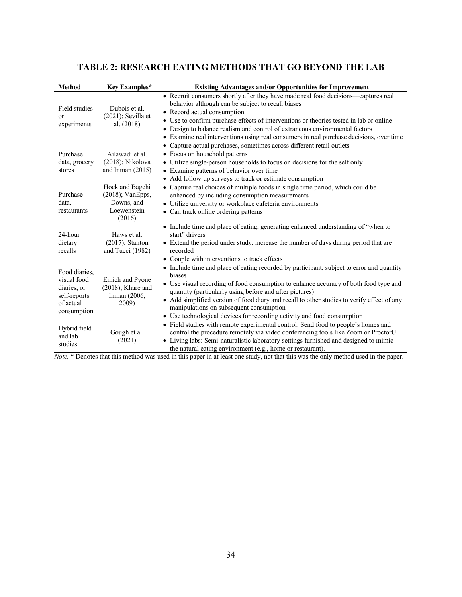# **TABLE 2: RESEARCH EATING METHODS THAT GO BEYOND THE LAB**

| <b>Method</b>                                                                           | Key Examples*                                                                 | <b>Existing Advantages and/or Opportunities for Improvement</b>                                                                                                                                                                                                                                                                                                                                                                                                            |
|-----------------------------------------------------------------------------------------|-------------------------------------------------------------------------------|----------------------------------------------------------------------------------------------------------------------------------------------------------------------------------------------------------------------------------------------------------------------------------------------------------------------------------------------------------------------------------------------------------------------------------------------------------------------------|
| Field studies<br>or<br>experiments                                                      | Dubois et al.<br>$(2021)$ ; Sevilla et<br>al. (2018)                          | • Recruit consumers shortly after they have made real food decisions—captures real<br>behavior although can be subject to recall biases<br>• Record actual consumption<br>• Use to confirm purchase effects of interventions or theories tested in lab or online<br>• Design to balance realism and control of extraneous environmental factors<br>• Examine real interventions using real consumers in real purchase decisions, over time                                 |
| Purchase<br>data, grocery<br>stores                                                     | Ailawadi et al.<br>(2018); Nikolova<br>and Inman $(2015)$                     | • Capture actual purchases, sometimes across different retail outlets<br>• Focus on household patterns<br>• Utilize single-person households to focus on decisions for the self only<br>• Examine patterns of behavior over time<br>• Add follow-up surveys to track or estimate consumption                                                                                                                                                                               |
| Purchase<br>data,<br>restaurants                                                        | Hock and Bagchi<br>$(2018)$ ; VanEpps,<br>Downs, and<br>Loewenstein<br>(2016) | • Capture real choices of multiple foods in single time period, which could be<br>enhanced by including consumption measurements<br>• Utilize university or workplace cafeteria environments<br>• Can track online ordering patterns                                                                                                                                                                                                                                       |
| 24-hour<br>dietary<br>recalls                                                           | Haws et al.<br>$(2017)$ ; Stanton<br>and Tucci (1982)                         | • Include time and place of eating, generating enhanced understanding of "when to<br>start" drivers<br>• Extend the period under study, increase the number of days during period that are<br>recorded<br>• Couple with interventions to track effects                                                                                                                                                                                                                     |
| Food diaries,<br>visual food<br>diaries, or<br>self-reports<br>of actual<br>consumption | Emich and Pyone<br>$(2018)$ ; Khare and<br>Inman (2006,<br>2009)              | • Include time and place of eating recorded by participant, subject to error and quantity<br>biases<br>• Use visual recording of food consumption to enhance accuracy of both food type and<br>quantity (particularly using before and after pictures)<br>• Add simplified version of food diary and recall to other studies to verify effect of any<br>manipulations on subsequent consumption<br>• Use technological devices for recording activity and food consumption |
| Hybrid field<br>and lab<br>studies                                                      | Gough et al.<br>(2021)                                                        | • Field studies with remote experimental control: Send food to people's homes and<br>control the procedure remotely via video conferencing tools like Zoom or ProctorU.<br>• Living labs: Semi-naturalistic laboratory settings furnished and designed to mimic<br>the natural eating environment (e.g., home or restaurant).                                                                                                                                              |

*Note.* \* Denotes that this method was used in this paper in at least one study, not that this was the only method used in the paper.